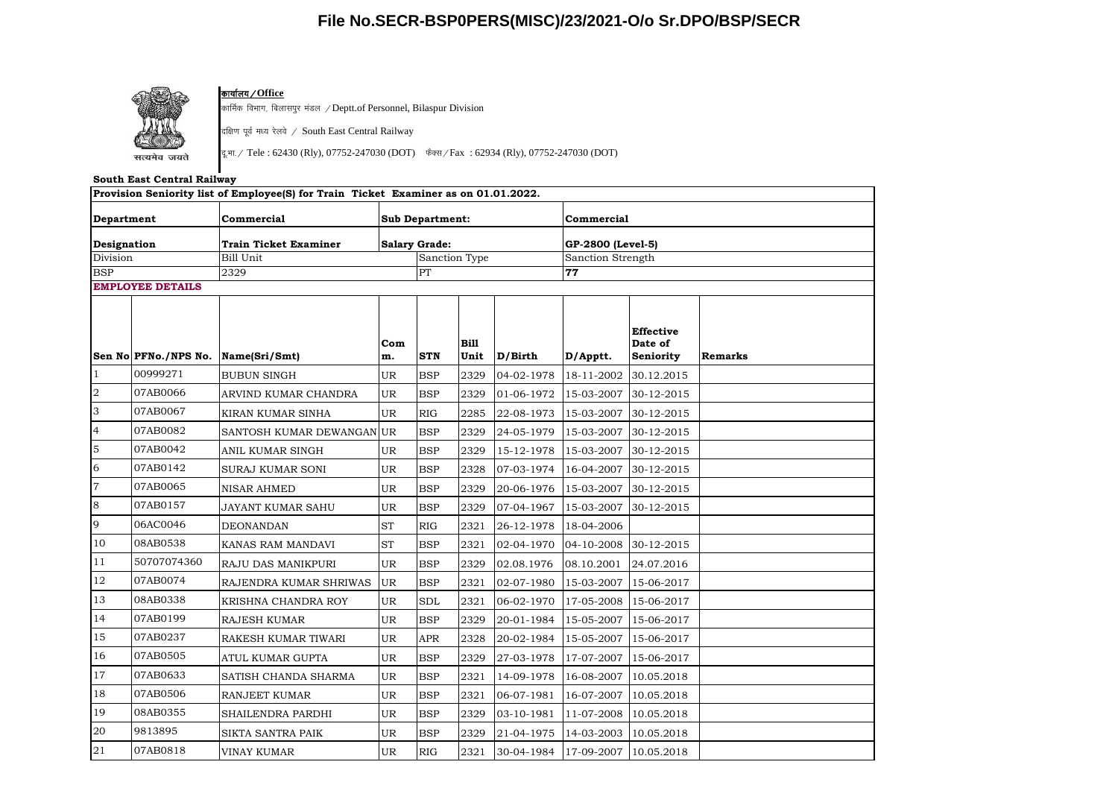## **File No.SECR-BSP0PERS(MISC)/23/2021-O/o Sr.DPO/BSP/SECR**



### <mark>कार्यालय / Office</mark>

कार्मिक विभाग, बिलासपुर मंडल /Deptt.of Personnel, Bilaspur Division

दक्षिण पूर्व मध्य रेलवे / South East Central Railway

दू.भा. / Tele : 62430 (Rly), 07752-247030 (DOT) फैक्स / Fax : 62934 (Rly), 07752-247030 (DOT)

#### **South East Central Railway**

|                                                     |                      | Provision Seniority list of Employee(S) for Train Ticket Examiner as on 01.01.2022. |                                                |                      |              |            |                                              |                                          |         |  |
|-----------------------------------------------------|----------------------|-------------------------------------------------------------------------------------|------------------------------------------------|----------------------|--------------|------------|----------------------------------------------|------------------------------------------|---------|--|
| Department<br>Designation<br>Division<br><b>BSP</b> |                      | Commercial                                                                          | <b>Sub Department:</b><br><b>Salary Grade:</b> |                      |              |            | Commercial                                   |                                          |         |  |
|                                                     |                      | <b>Train Ticket Examiner</b>                                                        |                                                |                      |              |            | GP-2800 (Level-5)<br>Sanction Strength<br>77 |                                          |         |  |
|                                                     |                      | Bill Unit<br>2329                                                                   |                                                | Sanction Type<br>PT  |              |            |                                              |                                          |         |  |
|                                                     |                      |                                                                                     |                                                |                      |              |            |                                              |                                          |         |  |
|                                                     | Sen No PFNo./NPS No. | Name(Sri/Smt)                                                                       | Com<br>m.                                      | <b>STN</b>           | Bill<br>Unit | D/Birth    | D/Apptt.                                     | <b>Effective</b><br>Date of<br>Seniority | Remarks |  |
| $\vert$ 1                                           | 00999271             | <b>BUBUN SINGH</b>                                                                  | UR                                             | <b>BSP</b>           | 2329         | 04-02-1978 | 18-11-2002                                   | 30.12.2015                               |         |  |
| $\sqrt{2}$                                          | 07AB0066             | ARVIND KUMAR CHANDRA                                                                | UR                                             | <b>BSP</b>           | 2329         | 01-06-1972 | 15-03-2007                                   | 30-12-2015                               |         |  |
| 3                                                   | 07AB0067             | KIRAN KUMAR SINHA                                                                   | <b>UR</b>                                      | RIG                  | 2285         | 22-08-1973 | 15-03-2007                                   | 30-12-2015                               |         |  |
| $\overline{4}$                                      | 07AB0082             | SANTOSH KUMAR DEWANGAN UR                                                           |                                                | <b>BSP</b>           | 2329         | 24-05-1979 | 15-03-2007                                   | 30-12-2015                               |         |  |
| $\mathbf 5$                                         | 07AB0042             | ANIL KUMAR SINGH                                                                    | UR                                             | <b>BSP</b>           | 2329         | 15-12-1978 | 15-03-2007                                   | 30-12-2015                               |         |  |
| 6                                                   | 07AB0142             | SURAJ KUMAR SONI                                                                    | UR                                             | <b>BSP</b>           | 2328         | 07-03-1974 | 16-04-2007                                   | 30-12-2015                               |         |  |
| $\overline{7}$                                      | 07AB0065             | <b>NISAR AHMED</b>                                                                  | UR                                             | <b>BSP</b>           | 2329         | 20-06-1976 | 15-03-2007                                   | 30-12-2015                               |         |  |
| 8                                                   | 07AB0157             | JAYANT KUMAR SAHU                                                                   | UR                                             | <b>BSP</b>           | 2329         | 07-04-1967 | 15-03-2007                                   | 30-12-2015                               |         |  |
| $\overline{9}$                                      | 06AC0046             | DEONANDAN                                                                           | ${\rm ST}$                                     | RIG                  | 2321         | 26-12-1978 | 18-04-2006                                   |                                          |         |  |
| 10                                                  | 08AB0538             | KANAS RAM MANDAVI                                                                   | <b>ST</b>                                      | <b>BSP</b>           | 2321         | 02-04-1970 | 04-10-2008                                   | 30-12-2015                               |         |  |
| 11                                                  | 50707074360          | RAJU DAS MANIKPURI                                                                  | UR                                             | <b>BSP</b>           | 2329         | 02.08.1976 | 08.10.2001                                   | 24.07.2016                               |         |  |
| 12                                                  | 07AB0074             | RAJENDRA KUMAR SHRIWAS                                                              | UR                                             | <b>BSP</b>           | 2321         | 02-07-1980 | 15-03-2007                                   | 15-06-2017                               |         |  |
| 13                                                  | 08AB0338             | KRISHNA CHANDRA ROY                                                                 | UR                                             | $\operatorname{SDL}$ | 2321         | 06-02-1970 | 17-05-2008                                   | 15-06-2017                               |         |  |
| 14                                                  | 07AB0199             | <b>RAJESH KUMAR</b>                                                                 | UR                                             | <b>BSP</b>           | 2329         | 20-01-1984 | 15-05-2007                                   | 15-06-2017                               |         |  |
| 15                                                  | 07AB0237             | RAKESH KUMAR TIWARI                                                                 | <b>UR</b>                                      | <b>APR</b>           | 2328         | 20-02-1984 | 15-05-2007                                   | 15-06-2017                               |         |  |
| 16                                                  | 07AB0505             | ATUL KUMAR GUPTA                                                                    | <b>UR</b>                                      | <b>BSP</b>           | 2329         | 27-03-1978 | 17-07-2007                                   | 15-06-2017                               |         |  |
| 17                                                  | 07AB0633             | SATISH CHANDA SHARMA                                                                | UR                                             | <b>BSP</b>           | 2321         | 14-09-1978 | 16-08-2007                                   | 10.05.2018                               |         |  |
| 18                                                  | 07AB0506             | <b>RANJEET KUMAR</b>                                                                | UR                                             | <b>BSP</b>           | 2321         | 06-07-1981 | 16-07-2007                                   | 10.05.2018                               |         |  |
| 19                                                  | 08AB0355             | SHAILENDRA PARDHI                                                                   | UR                                             | <b>BSP</b>           | 2329         | 03-10-1981 | 11-07-2008                                   | 10.05.2018                               |         |  |
| 20                                                  | 9813895              | SIKTA SANTRA PAIK                                                                   | UR                                             | <b>BSP</b>           | 2329         | 21-04-1975 | 14-03-2003                                   | 10.05.2018                               |         |  |
| 21                                                  | 07AB0818             | VINAY KUMAR                                                                         | <b>UR</b>                                      | RIG                  | 2321         | 30-04-1984 | 17-09-2007 10.05.2018                        |                                          |         |  |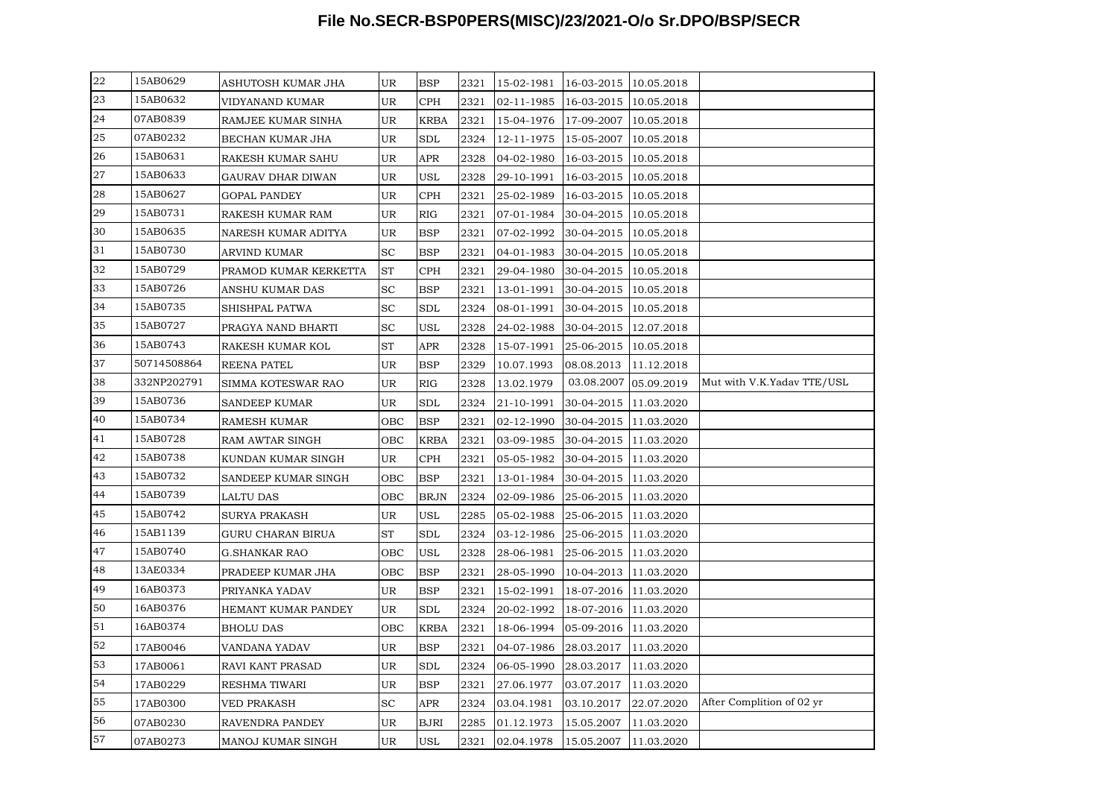# **File No.SECR-BSP0PERS(MISC)/23/2021-O/o Sr.DPO/BSP/SECR**

| 22 | 15AB0629    | ASHUTOSH KUMAR JHA       | UR        | BSP                  | 2321 | 15-02-1981 | 16-03-2015   10.05.2018 |            |                            |
|----|-------------|--------------------------|-----------|----------------------|------|------------|-------------------------|------------|----------------------------|
| 23 | 15AB0632    | VIDYANAND KUMAR          | UR        | <b>CPH</b>           | 2321 | 02-11-1985 | 16-03-2015 10.05.2018   |            |                            |
| 24 | 07AB0839    | RAMJEE KUMAR SINHA       | UR        | <b>KRBA</b>          | 2321 | 15-04-1976 | 17-09-2007              | 10.05.2018 |                            |
| 25 | 07AB0232    | BECHAN KUMAR JHA         | UR        | $\operatorname{SDL}$ | 2324 | 12-11-1975 | 15-05-2007              | 10.05.2018 |                            |
| 26 | 15AB0631    | RAKESH KUMAR SAHU        | UR        | APR                  | 2328 | 04-02-1980 | 16-03-2015   10.05.2018 |            |                            |
| 27 | 15AB0633    | <b>GAURAV DHAR DIWAN</b> | UR        | USL                  | 2328 | 29-10-1991 | 16-03-2015   10.05.2018 |            |                            |
| 28 | 15AB0627    | GOPAL PANDEY             | UR        | <b>CPH</b>           | 2321 | 25-02-1989 | 16-03-2015   10.05.2018 |            |                            |
| 29 | 15AB0731    | RAKESH KUMAR RAM         | UR        | RIG                  | 2321 | 07-01-1984 | 30-04-2015 10.05.2018   |            |                            |
| 30 | 15AB0635    | NARESH KUMAR ADITYA      | UR        | <b>BSP</b>           | 2321 | 07-02-1992 | 30-04-2015 10.05.2018   |            |                            |
| 31 | 15AB0730    | ARVIND KUMAR             | <b>SC</b> | BSP                  | 2321 | 04-01-1983 | 30-04-2015 10.05.2018   |            |                            |
| 32 | 15AB0729    | PRAMOD KUMAR KERKETTA    | <b>ST</b> | <b>CPH</b>           | 2321 | 29-04-1980 | 30-04-2015 10.05.2018   |            |                            |
| 33 | 15AB0726    | ANSHU KUMAR DAS          | <b>SC</b> | BSP                  | 2321 | 13-01-1991 | 30-04-2015 10.05.2018   |            |                            |
| 34 | 15AB0735    | SHISHPAL PATWA           | <b>SC</b> | $\operatorname{SDL}$ | 2324 | 08-01-1991 | 30-04-2015   10.05.2018 |            |                            |
| 35 | 15AB0727    | PRAGYA NAND BHARTI       | <b>SC</b> | USL                  | 2328 | 24-02-1988 | 30-04-2015   12.07.2018 |            |                            |
| 36 | 15AB0743    | RAKESH KUMAR KOL         | <b>ST</b> | APR                  | 2328 | 15-07-1991 | 25-06-2015 10.05.2018   |            |                            |
| 37 | 50714508864 | REENA PATEL              | UR        | BSP                  | 2329 | 10.07.1993 | 08.08.2013              | 11.12.2018 |                            |
| 38 | 332NP202791 | SIMMA KOTESWAR RAO       | UR        | RIG                  | 2328 | 13.02.1979 | 03.08.2007 05.09.2019   |            | Mut with V.K.Yadav TTE/USL |
| 39 | 15AB0736    | <b>SANDEEP KUMAR</b>     | UR        | SDL                  | 2324 | 21-10-1991 | 30-04-2015 11.03.2020   |            |                            |
| 40 | 15AB0734    | RAMESH KUMAR             | OBC       | <b>BSP</b>           | 2321 | 02-12-1990 | 30-04-2015 11.03.2020   |            |                            |
| 41 | 15AB0728    | RAM AWTAR SINGH          | OBC       | <b>KRBA</b>          | 2321 | 03-09-1985 | 30-04-2015 11.03.2020   |            |                            |
| 42 | 15AB0738    | KUNDAN KUMAR SINGH       | UR        | <b>CPH</b>           | 2321 | 05-05-1982 | 30-04-2015 11.03.2020   |            |                            |
| 43 | 15AB0732    | SANDEEP KUMAR SINGH      | OBC       | <b>BSP</b>           | 2321 | 13-01-1984 | 30-04-2015 11.03.2020   |            |                            |
| 44 | 15AB0739    | <b>LALTU DAS</b>         | OBC       | <b>BRJN</b>          | 2324 | 02-09-1986 | 25-06-2015 11.03.2020   |            |                            |
| 45 | 15AB0742    | <b>SURYA PRAKASH</b>     | UR        | USL                  | 2285 | 05-02-1988 | 25-06-2015 11.03.2020   |            |                            |
| 46 | 15AB1139    | GURU CHARAN BIRUA        | ST        | $\operatorname{SDL}$ | 2324 | 03-12-1986 | 25-06-2015 11.03.2020   |            |                            |
| 47 | 15AB0740    | <b>G.SHANKAR RAO</b>     | OBC       | USL                  | 2328 | 28-06-1981 | 25-06-2015 11.03.2020   |            |                            |
| 48 | 13AE0334    | PRADEEP KUMAR JHA        | OBC       | <b>BSP</b>           | 2321 | 28-05-1990 | 10-04-2013 11.03.2020   |            |                            |
| 49 | 16AB0373    | PRIYANKA YADAV           | UR        | BSP                  | 2321 | 15-02-1991 | 18-07-2016 11.03.2020   |            |                            |
| 50 | 16AB0376    | HEMANT KUMAR PANDEY      | UR        | SDL                  | 2324 | 20-02-1992 | 18-07-2016 11.03.2020   |            |                            |
| 51 | 16AB0374    | BHOLU DAS                | OBC       | KRBA                 | 2321 | 18-06-1994 | 05-09-2016 11.03.2020   |            |                            |
| 52 | 17AB0046    | VANDANA YADAV            | <b>UR</b> | <b>BSP</b>           | 2321 | 04-07-1986 | 28.03.2017              | 11.03.2020 |                            |
| 53 | 17AB0061    | RAVI KANT PRASAD         | UR        | SDL                  | 2324 | 06-05-1990 | 28.03.2017              | 11.03.2020 |                            |
| 54 | 17AB0229    | RESHMA TIWARI            | UR        | <b>BSP</b>           | 2321 | 27.06.1977 | 03.07.2017              | 11.03.2020 |                            |
| 55 | 17AB0300    | VED PRAKASH              | <b>SC</b> | APR                  | 2324 | 03.04.1981 | 03.10.2017              | 22.07.2020 | After Complition of 02 yr  |
| 56 | 07AB0230    | RAVENDRA PANDEY          | UR        | <b>BJRI</b>          | 2285 | 01.12.1973 | 15.05.2007              | 11.03.2020 |                            |
| 57 | 07AB0273    | MANOJ KUMAR SINGH        | UR        | USL                  | 2321 | 02.04.1978 | 15.05.2007 11.03.2020   |            |                            |